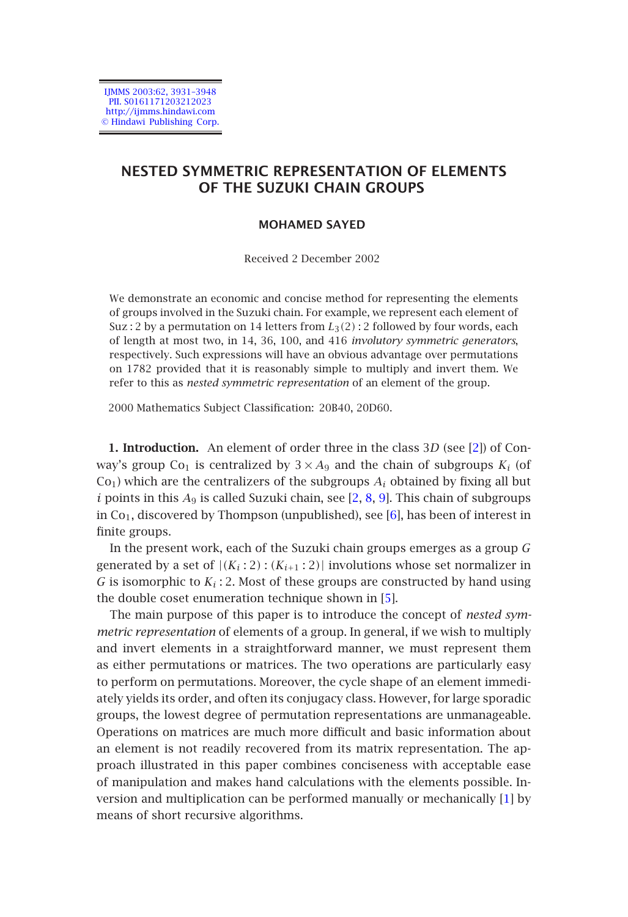IJMMS 2003:62, 3931–3948 PII. S0161171203212023 http://ijmms.hindawi.com © Hindawi Publishing Corp.

# **NESTED SYMMETRIC REPRESENTATION OF ELEMENTS OF THE SUZUKI CHAIN GROUPS**

### **MOHAMED SAYED**

Received 2 December 2002

We demonstrate an economic and concise method for representing the [el](#page-17-0)ements of groups involved in the Suzuki chain. For example, we represent each element of Suz : 2 by a permutation on 14 letters from  $L_3(2)$  : 2 followed by four words, each of length at most two, in 14, 36, 100, and 416 *involutory symmetric generators*, respectively. Such expressions will have an obvi[ou](#page-17-0)[s a](#page-17-1)[dv](#page-17-2)antage over permutations on 1782 provided that it is reasonably simple to mul[tip](#page-17-3)ly and invert them. We refer to this as *nested symmetric representation* of an element of the group.

2000 Mathematics Subject Classification: 20B40, 20D60.

**1. Introduction.** An element of order three in th[e c](#page-17-4)lass 3*D* (see [2]) of Conway's group Co<sub>1</sub> is centralized by  $3 \times A_9$  and the chain of subgroups  $K_i$  (of  $Co<sub>1</sub>$ ) which are the centralizers of the subgroups  $A<sub>i</sub>$  obtained by fixing all but *<sup>i</sup>* points in this *<sup>A</sup>*<sup>9</sup> is called Suzuki chain, see [2, 8, 9]. This chain of subgroups in  $Co<sub>1</sub>$ , discovered by Thompson (unpublished), see [6], has been of interest in finite groups.

In the present work, each of the Suzuki chain groups emerges as a group *G* generated by a set of  $|(K_i:2):(K_{i+1}:2)|$  involutions whose set normalizer in *G* is isomorphic to  $K_i$ : 2. Most of these groups are constructed by hand using the double coset enumeration technique shown in [5].

The main purpose of this paper is to introduce the concept of *nested symmetric representation* of elements of a group. In general, if we wish to multiply and invert elements in a straightforward manner, we must represent [th](#page-17-5)em as either permutations or matrices. The two operations are particularly easy to perform on permutations. Moreover, the cycle shape of an element immediately yields its order, and often its conjugacy class. However, for large sporadic groups, the lowest degree of permutation representations are unmanageable. Operations on matrices are much more difficult and basic information about an element is not readily recovered from its matrix representation. The approach illustrated in this paper combines conciseness with acceptable ease of manipulation and makes hand calculations with the elements possible. Inversion and multiplication can be performed manually or mechanically [1] by means of short recursive algorithms.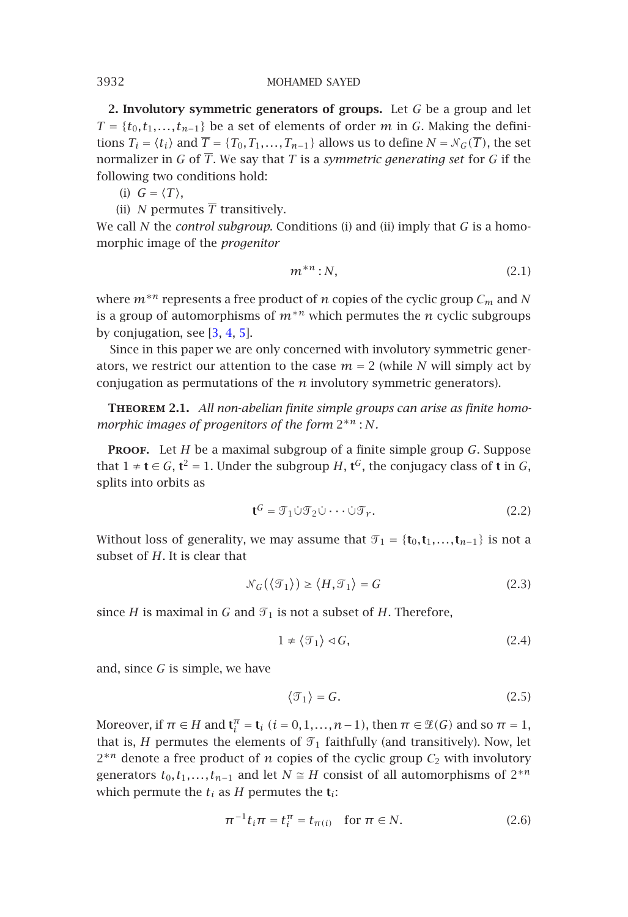**2. Involutory symmetric generators of groups.** Let *G* be a group and let  $T = \{t_0, t_1, \ldots, t_{n-1}\}$  be a set of elements of order *m* in *G*. Making the definitions  $T_i = \langle t_i \rangle$  and  $\overline{T} = \{T_0, T_1, \ldots, T_{n-1}\}$  allows us to define  $N = \mathcal{N}_G(\overline{T})$ , the set normalizer in *G* of *<sup>T</sup>*. We say that *<sup>T</sup>* is a *symmetric generating set* for *<sup>G</sup>* if the following two condi[tio](#page-17-6)[ns](#page-17-7) [ho](#page-17-4)ld:

(i)  $G = \langle T \rangle$ ,

(ii) *N* permutes  $\overline{T}$  transitively.

We call *N* the *control subgroup*. Conditions (i) and (ii) imply that *G* is a homomorphic image of the *progenitor*

$$
m^{*n}:N,\tag{2.1}
$$

where *<sup>m</sup>*∗*<sup>n</sup>* represents a free product of *<sup>n</sup>* copies of the cyclic group *Cm* and *<sup>N</sup>* is a group of automorphisms of  $m^{*n}$  which permutes the *n* cyclic subgroups by conjugation, see [3, 4, 5].

Since in this paper we are only concerned with involutory symmetric generators, we restrict our attention to the case  $m = 2$  (while *N* will simply act by conjugation as permutations of the *n* involutory symmetric generators).

**Theorem 2.1.** *All non-abelian finite simple groups can arise as finite homomorphic images of progenitors of the form* <sup>2</sup>∗*<sup>n</sup>* : *<sup>N</sup>.*

**Proof.** Let *H* be a maximal subgroup of a finite simple group *G*. Suppose that 1 ≠ **t** ∈ *G*, **t**<sup>2</sup> = 1. Under the subgroup *H*, **t**<sup>*G*</sup>, the conjugacy class of **t** in *G*, splits into orbits as

$$
\mathbf{t}^G = \mathcal{T}_1 \dot{\cup} \mathcal{T}_2 \dot{\cup} \cdots \dot{\cup} \mathcal{T}_r. \tag{2.2}
$$

Without loss of generality, we may assume that  $\mathcal{T}_1 = \{t_0, t_1, \ldots, t_{n-1}\}$  is not a subset of *H*, It is clear that subset of *H*. It is clear that

$$
\mathcal{N}_G(\langle \mathcal{T}_1 \rangle) \ge \langle H, \mathcal{T}_1 \rangle = G \tag{2.3}
$$

since *H* is maximal in *G* and  $\mathcal{T}_1$  is not a subset of *H*. Therefore,

$$
1 \neq \langle \mathcal{T}_1 \rangle \triangleleft \mathcal{G},\tag{2.4}
$$

and, since *G* is simple, we have

$$
\langle \mathcal{T}_1 \rangle = G. \tag{2.5}
$$

Moreover, if  $\pi \in H$  and  $\mathbf{t}_i^{\pi} = \mathbf{t}_i$  ( $i = 0, 1, ..., n-1$ ), then  $\pi \in \mathcal{L}(G)$  and so  $\pi = 1$ , that is *H* assumption the class of  $\pi$  faithfully (and transitively). Now let that is, *H* permutes the elements of  $\mathcal{T}_1$  faithfully (and transitively). Now, let <sup>2</sup>∗*<sup>n</sup>* denote a free product of *<sup>n</sup>* copies of the cyclic group *<sup>C</sup>*<sup>2</sup> with involutory generators  $t_0, t_1, \ldots, t_{n-1}$  and let  $N \cong H$  consist of all automorphisms of  $2^{*n}$ which permute the  $t_i$  as  $H$  permutes the  $t_i$ :

$$
\pi^{-1}t_i\pi = t_i^{\pi} = t_{\pi(i)} \quad \text{for } \pi \in N.
$$
 (2.6)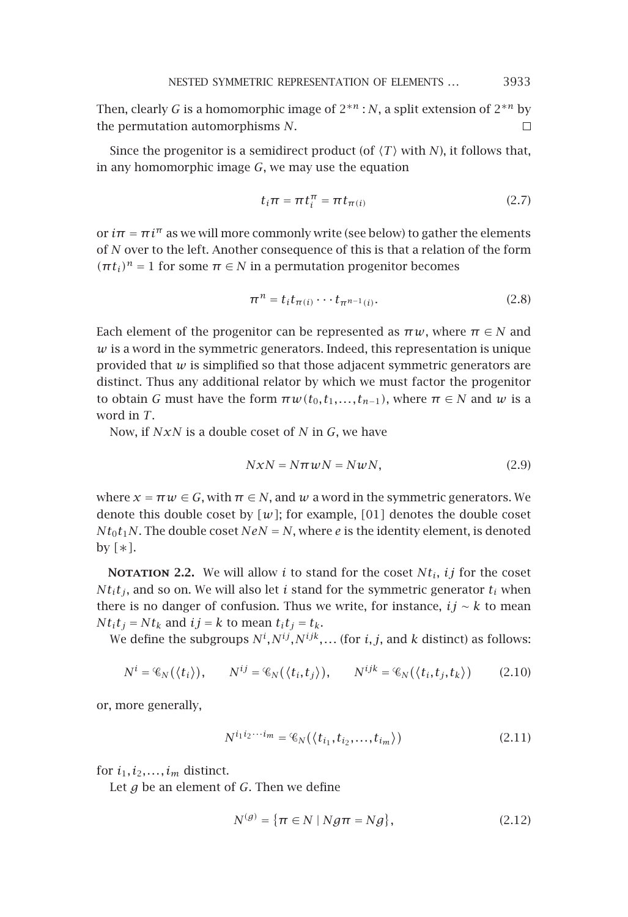Then, clearly *G* is a homomorphic image of  $2^{*n}$  : *N*, a split extension of  $2^{*n}$  by the permutation automorphisms *N*. the permutation automorphisms *N*.

Since the progenitor is a semidirect product (of  $\langle T \rangle$  with *N*), it follows that, in any homomorphic image *G*, we may use the equation

$$
t_i \pi = \pi t_i^{\pi} = \pi t_{\pi(i)}
$$
 (2.7)

or  $i\pi = \pi i^{\pi}$  as we will more commonly write (see below) to gather the elements of *N* over to the left. Another consequence of this is that a relation of the form  $(\pi t_i)^n = 1$  for some  $\pi \in N$  in a permutation progenitor becomes

$$
\pi^n = t_i t_{\pi(i)} \cdots t_{\pi^{n-1}(i)}.
$$
\n(2.8)

Each element of the progenitor can be represented as  $\pi w$ , where  $\pi \in N$  and *w* is a word in the symmetric generators. Indeed, this representation is unique provided that  $w$  is simplified so that those adjacent symmetric generators are distinct. Thus any additional relator by which we must factor the progenitor to obtain *G* must have the form  $\pi w(t_0, t_1, \ldots, t_{n-1})$ , where  $\pi \in N$  and *w* is a word in *T*.

Now, if *NxN* is a double coset of *N* in *G*, we have

$$
NxN = N\pi wN = NwN, \qquad (2.9)
$$

where  $x = \pi w \in G$ , with  $\pi \in N$ , and w a word in the symmetric generators. We denote this double coset by  $[w]$ ; for example,  $[01]$  denotes the double coset  $Nt_0t_1N$ . The double coset  $NeN = N$ , where *e* is the identity element, is denoted by *[*∗*]*.

**NOTATION 2.2.** We will allow *i* to stand for the coset  $Nt_i$ , *ij* for the coset  $Nt<sub>i</sub>t<sub>j</sub>$ , and so on. We will also let *i* stand for the symmetric generator  $t<sub>i</sub>$  when there is no danger of confusion. Thus we write, for instance, *ij* <sup>∼</sup> *k* to mean  $Nt<sub>i</sub>t<sub>j</sub> = Nt<sub>k</sub>$  and  $ij = k$  to mean  $t<sub>i</sub>t<sub>j</sub> = t<sub>k</sub>$ .

We define the subgroups  $N^t, N^{tJ}, N^{tJk}, \ldots$  (for *i*, *j*, and *k* distinct) as follows:

$$
N^{i} = \mathcal{C}_{N}(\langle t_{i} \rangle), \qquad N^{ij} = \mathcal{C}_{N}(\langle t_{i}, t_{j} \rangle), \qquad N^{ijk} = \mathcal{C}_{N}(\langle t_{i}, t_{j}, t_{k} \rangle) \tag{2.10}
$$

or, more generally,

$$
N^{i_1 i_2 \cdots i_m} = \mathcal{C}_N(\langle t_{i_1}, t_{i_2}, \dots, t_{i_m} \rangle)
$$
\n(2.11)

for  $i_1, i_2, \ldots, i_m$  distinct.

Let *g* be an element of *G*. Then we define

$$
N^{(g)} = \{\pi \in N \mid Ng\pi = Ng\},\tag{2.12}
$$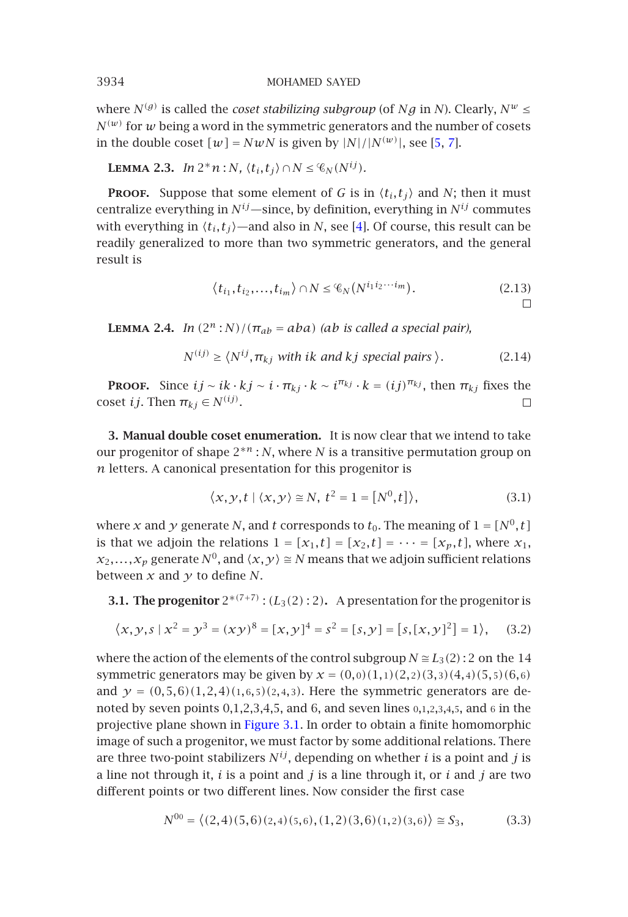where  $N^{(g)}$  is called the *coset stabilizing subgroup* (of *Ng* in *N*). Clearly,  $N^{w} \leq$  $N^{(w)}$  for *w* being a word in the symmetric generators and the number of cosets in the double coset  $[w] = NwN$  is given by  $|N|/|N^{(w)}|$ , see [5, 7].

**LEMMA 2.3.** *In*  $2^n n : N$ *,*  $\langle t_i, t_j \rangle \cap N \leq \mathcal{C}_N(N^{ij})$ *.* 

**PROOF.** Suppose that some element of *G* is in  $\langle t_i, t_j \rangle$  and *N*; then it must<br>utualize sympthize in  $\mathcal{M}^i$ , since by definition sympthize in  $\mathcal{M}^i$  commutes centralize everything in  $N^{ij}$ —since, by definition, everything in  $N^{ij}$  commutes with everything in  $\langle t_i, t_j \rangle$ —and also in *N*, see [4]. Of course, this result can be readily generalized to more than two symmetric generators, and the general result is

$$
\langle t_{i_1}, t_{i_2}, \dots, t_{i_m} \rangle \cap N \leq \mathcal{C}_N(N^{i_1 i_2 \cdots i_m}). \tag{2.13}
$$

**LEMMA 2.4.** *In*  $(2^n : N)/(\pi_{ab} = aba)$  *(ab is called a special pair),* 

$$
N^{(ij)} \ge \langle N^{ij}, \pi_{kj} \text{ with } ik \text{ and } kj \text{ special pairs } \rangle. \tag{2.14}
$$

**PROOF.** Since  $ij \sim ik \cdot kj \sim i \cdot \pi_{kj} \cdot k \sim i^{\pi_{kj}} \cdot k = (ij)^{\pi_{kj}}$ , then  $\pi_{kj}$  fixes the coset *ij*. Then  $\pi_{kj} \in N^{(ij)}$ .

**3. Manual double coset enumeration.** It is now clear that we intend to take our progenitor of shape 2∗*<sup>n</sup>* : *N*, where *N* is a transitive permutation group on *n* letters. A canonical presentation for this progenitor is

$$
\langle x, y, t \mid \langle x, y \rangle \cong N, t^2 = 1 = [N^0, t] \rangle,
$$
\n(3.1)

where *x* and *y* generate *N*, and *t* corresponds to  $t_0$ . The meaning of  $1 = [N^0, t]$ is that we adjoin the relations  $1 = [x_1, t] = [x_2, t] = \cdots = [x_p, t]$ , where  $x_1$ ,  $x_2, \ldots, x_p$  generate  $N^0$ , and  $\langle x, y \rangle \cong N$  means that we adjoin sufficient relations between  $x$  and  $y$  to define  $N$ .

**3.1. The progenitor**  $2^{*(7+7)}$  :  $(L_3(2):2)$ . A presentation for the progenitor is

$$
\langle x, y, s \mid x^2 = y^3 = (xy)^8 = [x, y]^4 = s^2 = [s, y] = [s, [x, y]^2] = 1 \rangle, \quad (3.2)
$$

where the action of the elements of the control subgroup  $N \approx L_3(2)$ : 2 on the 14 symmetric generators may be given by  $x = (0,0)(1,1)(2,2)(3,3)(4,4)(5,5)(6,6)$ and  $y = (0, 5, 6)(1, 2, 4)(1, 6, 5)(2, 4, 3)$ . Here the symmetric generators are denoted by seven points  $0,1,2,3,4,5$ , and  $6$ , and seven lines  $0,1,2,3,4,5$ , and  $6$  in the projective plane shown in Figure 3.1. In order to obtain a finite homomorphic image of such a progenitor, we must factor by some additional relations. There are three two-point stabilizers  $N^{ij}$ , depending on whether *i* is a point and *j* is a line not through it, *i* is a point and *j* is a line through it, or *i* and *j* are two different points or two different lines. Now consider the first case

$$
N^{00} = \langle (2,4)(5,6)(2,4)(5,6), (1,2)(3,6)(1,2)(3,6) \rangle \cong S_3,
$$
 (3.3)

<span id="page-3-0"></span>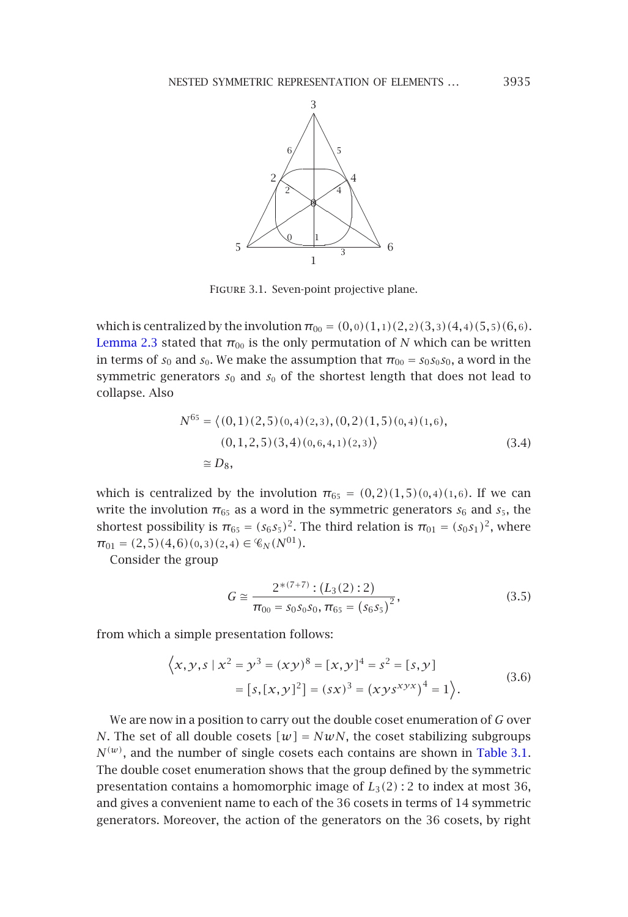## <span id="page-4-0"></span>NESTED SYMMETRIC REPRESENTATION OF ELEMENTS *...* <sup>3935</sup>



Figure 3.1. Seven-point projective plane.

which is centralized by the involution  $\pi_{00} = (0,0)(1,1)(2,2)(3,3)(4,4)(5,5)(6,6)$ . Lemma 2.3 stated that  $\pi_{00}$  is the only permutation of *N* which can be written in terms of  $s_0$  and  $s_0$ . We make the assumption that  $\pi_{00} = s_0 s_0 s_0$ , a word in the symmetric generators  $s_0$  and  $s_0$  of the shortest length that does not lead to collapse. Also

$$
N^{65} = \langle (0,1)(2,5)(0,4)(2,3), (0,2)(1,5)(0,4)(1,6),(0,1,2,5)(3,4)(0,6,4,1)(2,3) \rangle
$$
 (3.4)  

$$
\approx D_8,
$$

which is centralized by the involution  $\pi_{65} = (0,2)(1,5)(0,4)(1,6)$ . If we can write the involution  $\pi_{65}$  as a word in the symmetric generators  $s_6$  and  $s_5$ , the shortest possibility is  $\pi_{65} = (s_6 s_5)^2$ . The third relation is  $\pi_{01} = (s_0 s_1)^2$ , where  $\pi_{01} = (2,5)(4,6)(0,3)(2,4) \in \mathcal{C}_N(N^{01}).$ 

Consider the group

$$
G \cong \frac{2^{*(7+7)} : (L_3(2) : 2)}{\pi_{00} = s_0 s_0 s_0, \pi_{65} = (s_6 s_5)^2},
$$
\n(3.5)

from which a simple presentation follows:

$$
\langle x, y, s \mid x^2 = y^3 = (xy)^8 = [x, y]^4 = s^2 = [s, y]
$$
  
=  $[s, [x, y]^2] = (sx)^3 = (xys^{xyx})^4 = 1$  }. (3.6)

We are now in a position to carry out the double coset enumeration of *G* over *N*. The set of all double cosets  $[w] = NwN$ , the coset stabilizing subgroups  $N^{(w)}$ , and the number of single cosets each contains are shown in Table 3.1. The double coset enumeration shows that the group defined by the symmetric presentation contains a homomorphic image of *L*3*(*2*)* : 2 to index at most 36, and gives a convenient name to each of the 36 cosets in terms of 14 symmetric generators. Moreover, the action of the generators on the 36 cosets, by right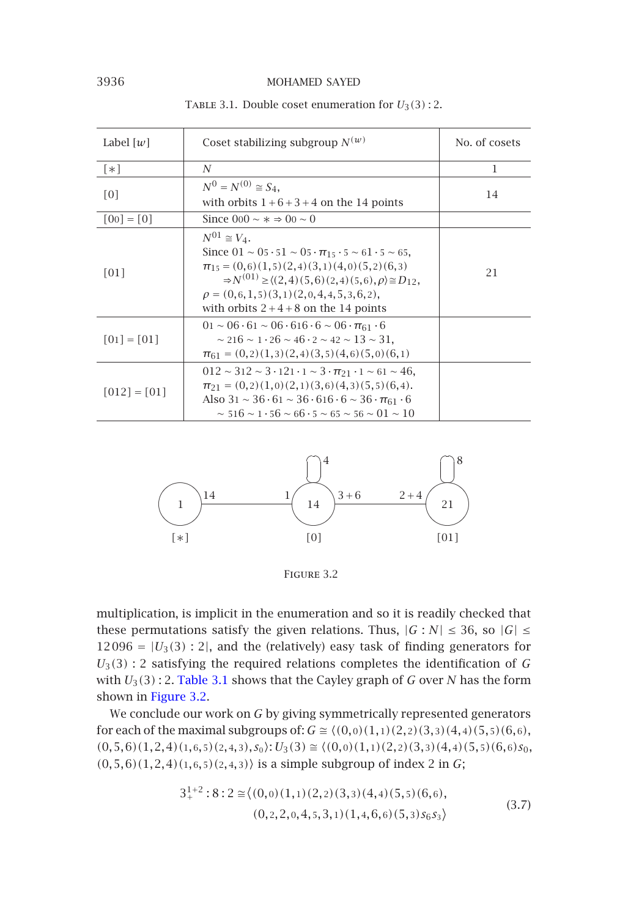| Label $ w $       | Coset stabilizing subgroup $N^{(w)}$                                                                                                                                                                                                                                                                                           | No. of cosets |
|-------------------|--------------------------------------------------------------------------------------------------------------------------------------------------------------------------------------------------------------------------------------------------------------------------------------------------------------------------------|---------------|
| $\lceil * \rceil$ | N                                                                                                                                                                                                                                                                                                                              | 1             |
| $\lceil 0 \rceil$ | $N^0 = N^{(0)} \cong S_4$ ,<br>with orbits $1+6+3+4$ on the 14 points                                                                                                                                                                                                                                                          | 14            |
| $[00] = [0]$      | Since $0.00 \sim x \approx 0.00 \sim 0$                                                                                                                                                                                                                                                                                        |               |
| [01]              | $N^{01} \cong V_4$ .<br>Since $01 \sim 05 \cdot 51 \sim 05 \cdot \pi_{15} \cdot 5 \sim 61 \cdot 5 \sim 65$ .<br>$\pi_{15} = (0,6)(1,5)(2,4)(3,1)(4,0)(5,2)(6,3)$<br>$\Rightarrow N^{(01)} \geq ((2,4)(5,6)(2,4)(5,6), \rho) \cong D_{12}$<br>$\rho = (0,6,1,5)(3,1)(2,0,4,4,5,3,6,2),$<br>with orbits $2+4+8$ on the 14 points | 21            |
| $[01] = [01]$     | $01 \sim 06 \cdot 61 \sim 06 \cdot 616 \cdot 6 \sim 06 \cdot \pi_{61} \cdot 6$<br>$\sim$ 216 $\sim$ 1 · 26 $\sim$ 46 · 2 $\sim$ 42 $\sim$ 13 $\sim$ 31.<br>$\pi_{61} = (0,2)(1,3)(2,4)(3,5)(4,6)(5,0)(6,1)$                                                                                                                    |               |
| $[012] = [01]$    | $012 \sim 312 \sim 3 \cdot 121 \cdot 1 \sim 3 \cdot \pi_{21} \cdot 1 \sim 61 \sim 46$<br>$\pi_{21} = (0,2)(1,0)(2,1)(3,6)(4,3)(5,5)(6,4).$<br>Also $31 \sim 36.61 \sim 36.616.6 \sim 36.761.6$<br>$\sim$ 516 $\sim$ 1 $\cdot$ 56 $\sim$ 66 $\cdot$ 5 $\sim$ 65 $\sim$ 56 $\sim$ 01 $\sim$ 10                                   |               |

<span id="page-5-0"></span>TABLE 3.1. Double coset enumeration for  $U_3(3)$ : 2.

<span id="page-5-1"></span>

Figure 3.2

multiplication, is implicit in the enumeration and so it is readily checked that these permutations satisfy the given relations. Thus,  $|G:N| \leq 36$ , so  $|G| \leq$  $12096 = |U_3(3):2|$ , and the (relatively) easy task of finding generators for  $U_3(3)$ : 2 satisfying the required relations completes the identification of *G* with *U*3*(*3*)* : 2. Table 3.1 shows that the Cayley graph of *<sup>G</sup>* over *<sup>N</sup>* has the form shown in Figure 3.2.

We conclude our work on *G* by giving symmetrically represented generators for each of the maximal subgroups of:  $G \cong \langle (0,0)(1,1)(2,2)(3,3)(4,4)(5,5)(6,6),$  $(0,5,6)(1,2,4)(1,6,5)(2,4,3),s_0$ :  $U_3(3) \cong \langle (0,0)(1,1)(2,2)(3,3)(4,4)(5,5)(6,6)s_0,$ *(*0*,*5*,*6*)(*1*,*2*,*4*)(*1*,*6*,*5*)(*2*,*4*,*3*)*- is a simple subgroup of index 2 in *G*;

$$
3_{+}^{1+2}:8:2 \approx \langle (0,0)(1,1)(2,2)(3,3)(4,4)(5,5)(6,6),(0,2,2,0,4,5,3,1)(1,4,6,6)(5,3)s_{6}s_{3}\rangle
$$
\n(3.7)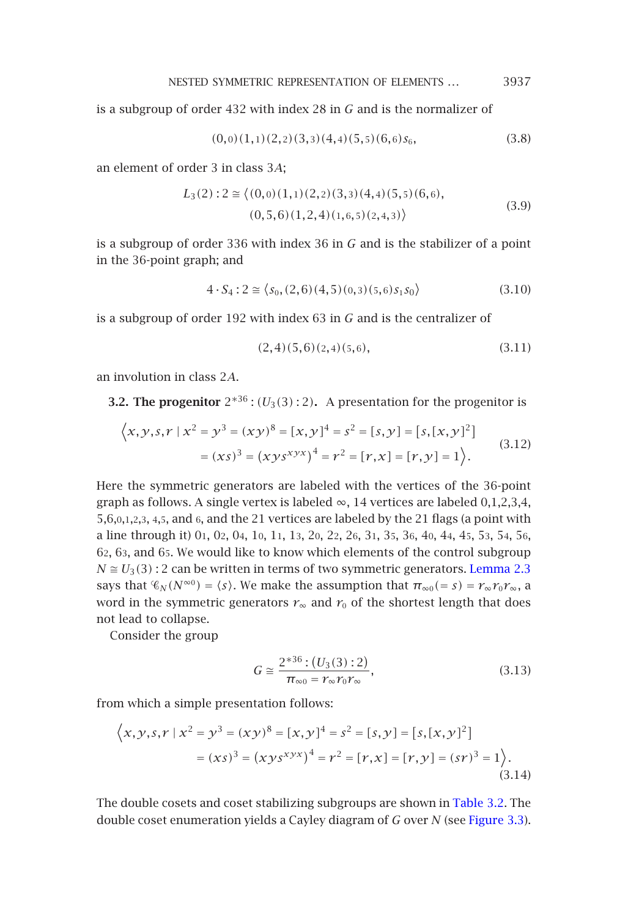NESTED SYMMETRIC REPRESENTATION OF ELEMENTS *...* <sup>3937</sup>

is a subgroup of order 432 with index 28 in *G* and is the normalizer of

$$
(0,0)(1,1)(2,2)(3,3)(4,4)(5,5)(6,6)s_6,
$$
\n(3.8)

an element of order 3 in class 3*A*;

$$
L_3(2): 2 \cong \langle (0,0)(1,1)(2,2)(3,3)(4,4)(5,5)(6,6),(0,5,6)(1,2,4)(1,6,5)(2,4,3) \rangle
$$
(3.9)

is a subgroup of order 336 with index 36 in *G* and is the stabilizer of a point in the 36-point graph; and

$$
4 \cdot S_4 : 2 \cong \langle s_0, (2,6)(4,5)(0,3)(5,6)s_1s_0 \rangle \tag{3.10}
$$

is a subgroup of order 192 with index 63 in *G* and is the centralizer of

$$
(2,4)(5,6)(2,4)(5,6), \t(3.11)
$$

an involution in class 2*A*.

**3.2. The progenitor**  $2^{*36}$  :  $(U_3(3):2)$ . A presentation for the progenitor is

$$
\langle x, y, s, r \mid x^2 = y^3 = (xy)^8 = [x, y]^4 = s^2 = [s, y] = [s, [x, y]^2]
$$

$$
= (xs)^3 = (xys^{xyx})^4 = r^2 = [r, x] = [r, y] = 1 \rangle. \tag{3.12}
$$

Here the symmetric generators are labeled with the vertices of the 36-point graph as follows. A single vertex is labeled  $\infty$ , 14 vertices are labeled 0,1,2,3,4, 5,6,0,1,2,3, 4,5, and 6, and the 21 vertices are labeled by the 21 flags (a point with a line through it) 01, 02, 04, 10, 11, 13, 20, 22, 26, 31, 35, 36, 40, 44, 45, 53, 54, 56, 62, 63, and 65. We would like to know which elements of the control subgroup  $N \approx U_3(3)$ : 2 can be written in terms of two symmetric generators. Lemma 2.3 says that  $\mathcal{C}_N(N^{\infty}0) = \langle s \rangle$ . We make the assumption that  $\pi_{\infty}0(=s) = r_{\infty}r_0r_{\infty}$ , a word in the symmetric generators  $r_{\infty}$  and  $r_0$  of the shortest length that does not lead to collapse.

Consider the group

$$
G \cong \frac{2^{*36} : (U_3(3) : 2)}{\pi_{\infty 0} = r_{\infty} r_0 r_{\infty}},
$$
\n(3.13)

from which a simple presentation follows:

$$
\langle x, y, s, r \mid x^2 = y^3 = (xy)^8 = [x, y]^4 = s^2 = [s, y] = [s, [x, y]^2]
$$

$$
= (xs)^3 = (xys^{xyx})^4 = r^2 = [r, x] = [r, y] = (sr)^3 = 1 \rangle.
$$
(3.14)

The double cosets and coset stabilizing subgroups are shown in Table 3.2. The double coset enumeration yields a Cayley diagram of *G* over *N* (see Figure 3.3).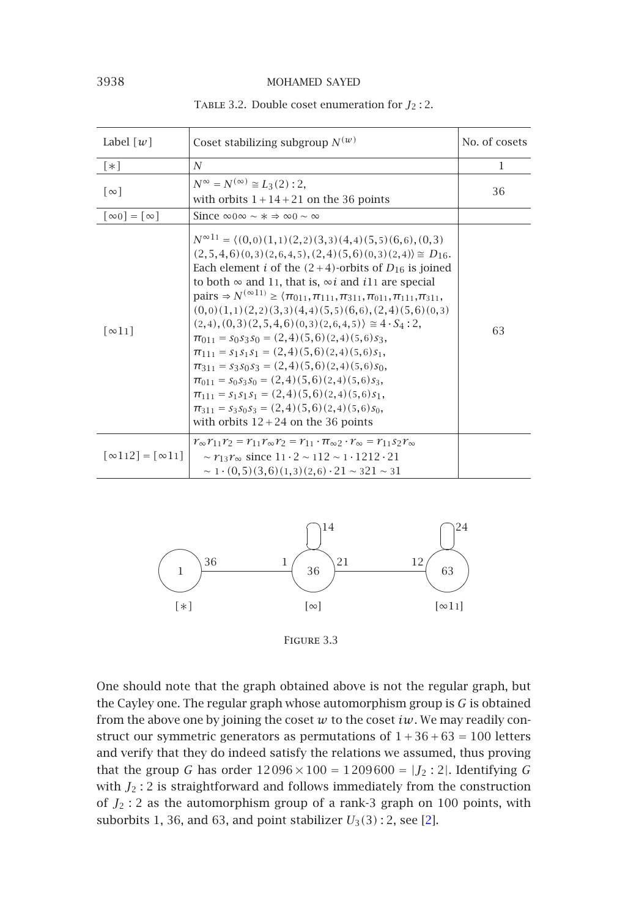| Label $\lceil w \rceil$                              | Coset stabilizing subgroup $N^{(w)}$                                                                                                                                                                                                                                                                                                                                                                                                                                                                                                                                                                                                                                                                                                                                                                                                                                                                                                                                                                                                                                                                                                                                                                 | No. of cosets |
|------------------------------------------------------|------------------------------------------------------------------------------------------------------------------------------------------------------------------------------------------------------------------------------------------------------------------------------------------------------------------------------------------------------------------------------------------------------------------------------------------------------------------------------------------------------------------------------------------------------------------------------------------------------------------------------------------------------------------------------------------------------------------------------------------------------------------------------------------------------------------------------------------------------------------------------------------------------------------------------------------------------------------------------------------------------------------------------------------------------------------------------------------------------------------------------------------------------------------------------------------------------|---------------|
| $\lceil * \rceil$                                    | N                                                                                                                                                                                                                                                                                                                                                                                                                                                                                                                                                                                                                                                                                                                                                                                                                                                                                                                                                                                                                                                                                                                                                                                                    | 1             |
| $\lceil \infty \rceil$                               | $N^{\infty} = N^{(\infty)} \cong L_3(2) : 2$ ,<br>with orbits $1+14+21$ on the 36 points                                                                                                                                                                                                                                                                                                                                                                                                                                                                                                                                                                                                                                                                                                                                                                                                                                                                                                                                                                                                                                                                                                             | 36            |
| $\lceil \infty 0 \rceil = \lceil \infty \rceil$      | Since $\infty$ 0 $\infty \sim$ * $\Rightarrow \infty$ 0 $\sim \infty$                                                                                                                                                                                                                                                                                                                                                                                                                                                                                                                                                                                                                                                                                                                                                                                                                                                                                                                                                                                                                                                                                                                                |               |
| $\lceil \infty 11 \rceil$                            | $N^{\infty 11}$ = $\langle (0,0)(1,1)(2,2)(3,3)(4,4)(5,5)(6,6), (0,3)$<br>$(2,5,4,6)(0,3)(2,6,4,5), (2,4)(5,6)(0,3)(2,4) \approx D_{16}$ .<br>Each element <i>i</i> of the $(2+4)$ -orbits of $D_{16}$ is joined<br>to both $\infty$ and 11, that is, $\infty i$ and i11 are special<br>pairs $\Rightarrow N^{(\infty 11)} \geq \langle \pi_{011}, \pi_{111}, \pi_{311}, \pi_{011}, \pi_{111}, \pi_{311}, \pi_{111}, \pi_{111}, \pi_{111}, \pi_{111}, \pi_{111}, \pi_{111}, \pi_{111}, \pi_{111}, \pi_{111}, \pi_{111}, \pi_{111}, \pi_{111}, \pi_{111}, \pi_{111}, \pi_{111}, \pi_{111}, \pi_{111}, \pi_{111}, \pi_{111}, \pi_{111}, \pi_{111}, \pi_{111}, \pi$<br>$(0,0)(1,1)(2,2)(3,3)(4,4)(5,5)(6,6), (2,4)(5,6)(0,3)$<br>$(2,4)$ , $(0,3)$ $(2,5,4,6)$ $(0,3)$ $(2,6,4,5)$ $\geq 4 \cdot S_4$ : 2,<br>$\pi_{011} = s_0 s_3 s_0 = (2, 4)(5, 6)(2, 4)(5, 6)s_3.$<br>$\pi_{111} = s_1 s_1 s_1 = (2.4)(5.6)(2.4)(5.6)s_1$<br>$\pi_{311} = s_3s_0s_3 = (2,4)(5,6)(2,4)(5,6)s_0$<br>$\pi_{011} = s_0 s_3 s_0 = (2, 4)(5, 6)(2, 4)(5, 6)s_3$<br>$\pi_{111} = s_1 s_1 s_1 = (2, 4)(5, 6)(2, 4)(5, 6)s_1$<br>$\pi_{311} = s_3s_0s_3 = (2,4)(5,6)(2,4)(5,6)s_0$<br>with orbits $12 + 24$ on the 36 points | 63            |
| $\lceil \infty 112 \rceil = \lceil \infty 11 \rceil$ | $r_{\infty}r_{11}r_2 = r_{11}r_{\infty}r_2 = r_{11} \cdot \pi_{\infty} \cdot r_{\infty} = r_{11} s_2 r_{\infty}$<br>~ $r_{13}r_{\infty}$ since $11 \cdot 2$ ~ $112$ ~ $1 \cdot 1212 \cdot 21$<br>$\sim 1 \cdot (0, 5)(3, 6)(1, 3)(2, 6) \cdot 21 \sim 321 \sim 31$                                                                                                                                                                                                                                                                                                                                                                                                                                                                                                                                                                                                                                                                                                                                                                                                                                                                                                                                   |               |

Table 3.2. Double coset enumeration for *<sup>J</sup>*<sup>2</sup> : 2.

<span id="page-7-0"></span>

Figure 3.3

One should note that the graph obtained above is not the regular graph, but the Cayley one. The regular graph whose automorphism group is *G* is obtained from the above one by joining the coset  $w$  to the coset  $iw$ . We may readily construct our symmetric generators as permutations of  $1+36+63 = 100$  letters and verify that they do indeed satisfy the relations we assumed, thus proving that the group *G* has order  $12096 \times 100 = 1209600 = |J_2 : 2|$ . Identifying *G* with  $J_2$ : 2 is straightforward and follows immediately from the construction of *<sup>J</sup>*<sup>2</sup> : 2 as the automorphism group of a rank-3 graph on 100 points, with suborbits 1, 36, and 63, and point stabilizer  $U_3(3)$ : 2, see [2].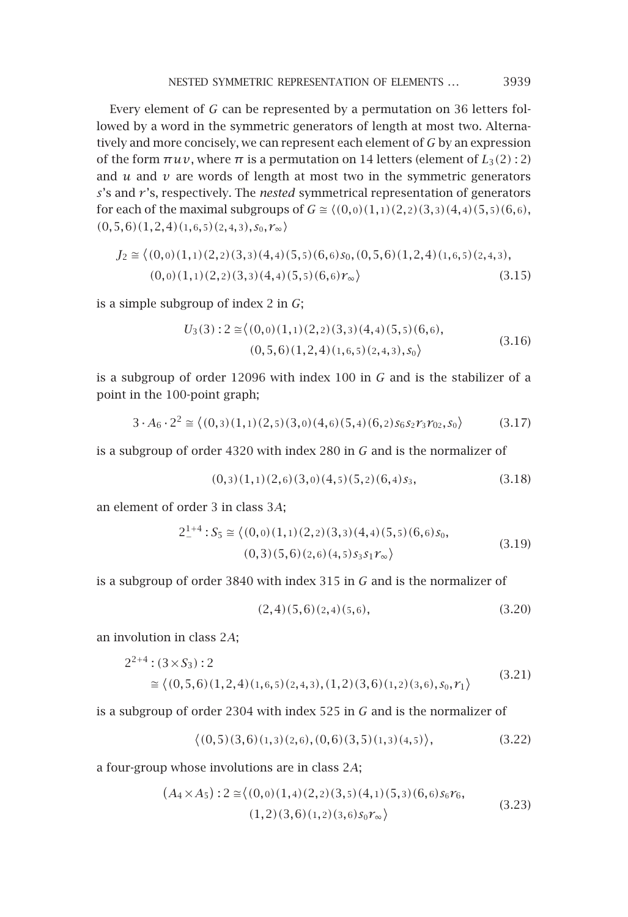Every element of *G* can be represented by a permutation on 36 letters followed by a word in the symmetric generators of length at most two. Alternatively and more concisely, we can represent each element of *G* by an expression of the form  $πuv$ , where  $π$  is a permutation on 14 letters (element of  $L_3(2):$  2) and  $u$  and  $v$  are words of length at most two in the symmetric generators *s*'s and *r* 's, respectively. The *nested* symmetrical representation of generators for each of the maximal subgroups of  $G \cong \langle (0,0)(1,1)(2,2)(3,3)(4,4)(5,5)(6,6),$ *(*0*,*5*,*6*)(*1*,*2*,*4*)(*1*,*6*,*5*)(*2*,*4*,*3*),s*<sup>0</sup>*, r*∞-

$$
J_2 \cong \langle (0,0)(1,1)(2,2)(3,3)(4,4)(5,5)(6,6)s_0, (0,5,6)(1,2,4)(1,6,5)(2,4,3),(0,0)(1,1)(2,2)(3,3)(4,4)(5,5)(6,6)r_{\infty} \rangle
$$
(3.15)

is a simple subgroup of index 2 in *G*;

$$
U_3(3): 2 \approx \langle (0,0)(1,1)(2,2)(3,3)(4,4)(5,5)(6,6),(0,5,6)(1,2,4)(1,6,5)(2,4,3),s_0 \rangle
$$
(3.16)

is a subgroup of order 12096 with index 100 in *G* and is the stabilizer of a point in the 100-point graph;

$$
3 \cdot A_6 \cdot 2^2 \cong \langle (0,3)(1,1)(2,5)(3,0)(4,6)(5,4)(6,2) s_6 s_2 r_3 r_{02}, s_0 \rangle \tag{3.17}
$$

is a subgroup of order 4320 with index 280 in *G* and is the normalizer of

$$
(0,3)(1,1)(2,6)(3,0)(4,5)(5,2)(6,4)s_3,
$$
\n(3.18)

an element of order 3 in class 3*A*;

$$
2^{1+4}_{-} : S_5 \cong \langle (0,0)(1,1)(2,2)(3,3)(4,4)(5,5)(6,6)s_0, (0,3)(5,6)(2,6)(4,5)s_3s_1r_{\infty} \rangle
$$
\n(3.19)

is a subgroup of order 3840 with index 315 in *G* and is the normalizer of

$$
(2,4)(5,6)(2,4)(5,6), \t(3.20)
$$

an involution in class 2*A*;

$$
2^{2+4} : (3 \times S_3) : 2
$$
  
\n
$$
\approx \langle (0,5,6)(1,2,4)(1,6,5)(2,4,3), (1,2)(3,6)(1,2)(3,6), s_0, r_1 \rangle
$$
\n(3.21)

is a subgroup of order 2304 with index 525 in *G* and is the normalizer of

$$
\langle (0,5)(3,6)(1,3)(2,6), (0,6)(3,5)(1,3)(4,5) \rangle, \tag{3.22}
$$

a four-group whose involutions are in class 2*A*;

$$
(A_4 \times A_5) : 2 \cong \langle (0,0)(1,4)(2,2)(3,5)(4,1)(5,3)(6,6) s_6 r_6, (3.23) \rangle
$$
  
(1,2)(3,6)(1,2)(3,6) s\_0 r\_\infty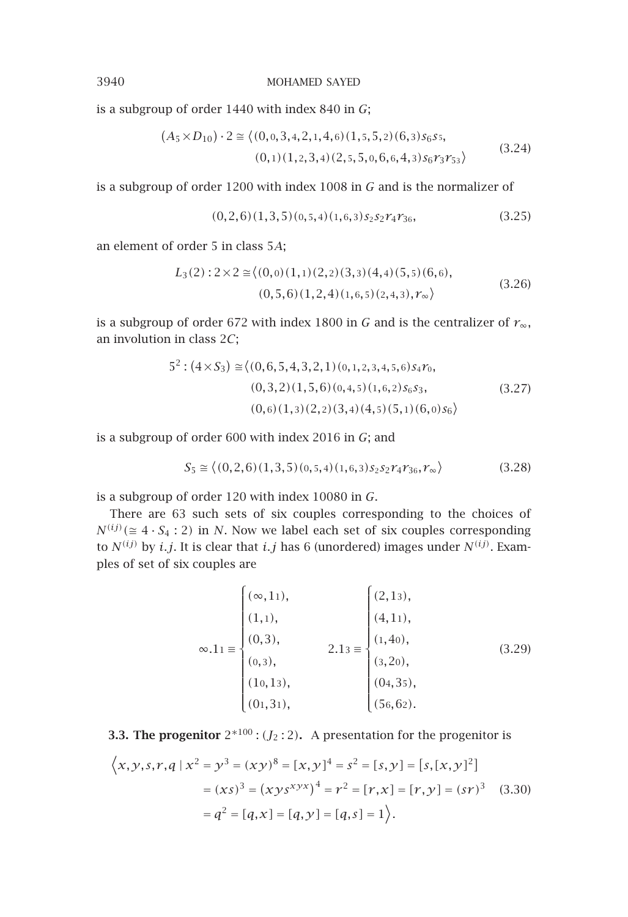is a subgroup of order 1440 with index 840 in *G*;

$$
(A_5 \times D_{10}) \cdot 2 \cong \langle (0, 0, 3, 4, 2, 1, 4, 6), (1, 5, 5, 2), (6, 3), (3, 5, 5, 6), (3, 2, 4), (0, 1), (1, 2, 3, 4), (2, 5, 5, 0, 6, 6, 4, 3), (3, 2, 4), (3, 2, 4), (3, 2, 4), (3, 2, 4), (3, 2, 4), (3, 2, 4), (3, 2, 4), (3, 2, 4), (3, 2, 4), (3, 2, 4), (3, 2, 4), (3, 2, 4), (3, 2, 4), (3, 2, 4), (3, 2, 4), (3, 2, 4), (3, 2, 4), (3, 2, 4), (3, 2, 4), (3, 2, 4), (3, 2, 4), (3, 2, 4), (3, 2, 4), (3, 2, 4), (3, 2, 4), (3, 2, 4), (3, 2, 4), (3, 2, 4), (3, 2, 4), (3, 2, 4), (3, 2, 4), (3, 2, 4), (3, 2, 4), (3, 2, 4), (3, 2, 4), (3, 2, 4), (3, 2, 4), (3, 2, 4), (3, 2, 4), (3, 2, 4), (3, 2, 4), (3, 2, 4), (3, 2, 4), (3, 2, 4), (3, 2, 4), (3, 2, 4), (3, 2, 4), (3, 2, 4), (3, 2, 4), (3, 2, 4), (3, 2, 4), (3, 2, 4), (3, 2, 4), (3, 2, 4), (3, 2, 4), (3, 2, 4), (3, 2, 4), (3, 2, 4), (3, 2, 4), (3, 2, 4), (3, 2, 4), (3, 2, 4), (3, 2, 4), (3, 2, 4), (3, 2, 4), (3, 2, 4), (3, 2, 4), (3, 2, 4), (3, 2, 4), (3, 2, 4), (3, 2
$$

is a subgroup of order 1200 with index 1008 in *G* and is the normalizer of

$$
(0,2,6)(1,3,5)(0,5,4)(1,6,3)s_2s_2r_4r_{36}, \t\t(3.25)
$$

an element of order 5 in class 5*A*;

$$
L_3(2): 2 \times 2 \cong \langle (0,0)(1,1)(2,2)(3,3)(4,4)(5,5)(6,6), (0,5,6)(1,2,4)(1,6,5)(2,4,3), r_\infty \rangle
$$
\n(3.26)

is a subgroup of order 672 with index 1800 in *<sup>G</sup>* and is the centralizer of *<sup>r</sup>*∞, an involution in class 2*C*;

$$
5^{2}: (4 \times S_{3}) \approx \langle (0,6,5,4,3,2,1)(0,1,2,3,4,5,6) s_{4} r_{0}, (0,3,2)(1,5,6)(0,4,5)(1,6,2) s_{6} s_{3}, (3.27)(0,6)(1,3)(2,2)(3,4)(4,5)(5,1)(6,0) s_{6} \rangle
$$

is a subgroup of order 600 with index 2016 in *G*; and

$$
S_5 \cong \langle (0,2,6)(1,3,5)(0,5,4)(1,6,3) S_2 S_2 T_4 T_{36}, T_{\infty} \rangle
$$
 (3.28)

is a subgroup of order 120 with index 10080 in *G*.

There are 63 such sets of six couples corresponding to the choices of  $N^{(ij)}$ ( $\cong$  4 · *S*<sub>4</sub> : 2) in *N*. Now we label each set of six couples corresponding to  $N^{(ij)}$  by *i.j.* It is clear that *i.j* has 6 (unordered) images under  $N^{(ij)}$ . Examples of set of six couples are

$$
\infty.11 \equiv \begin{cases}\n(\infty, 11), & \begin{cases}\n(2, 13), \\
(1, 1), \\
(0, 3), \\
(0, 3), \\
(10, 13), \\
(01, 31), \\
\end{cases} & 2.13 \equiv \begin{cases}\n(2, 13), \\
(4, 11), \\
(1, 40), \\
(3, 20), \\
(3, 20), \\
(04, 35), \\
(56, 62).\n\end{cases} & (3.29)
$$

**3.3. The progenitor**  $2*100$  :  $(J_2:2)$ . A presentation for the progenitor is

$$
\langle x, y, s, r, q \mid x^2 = y^3 = (xy)^8 = [x, y]^4 = s^2 = [s, y] = [s, [x, y]^2]
$$

$$
= (xs)^3 = (xys^{xyx})^4 = r^2 = [r, x] = [r, y] = (sr)^3 \quad (3.30)
$$

$$
= q^2 = [q, x] = [q, y] = [q, s] = 1 \rangle.
$$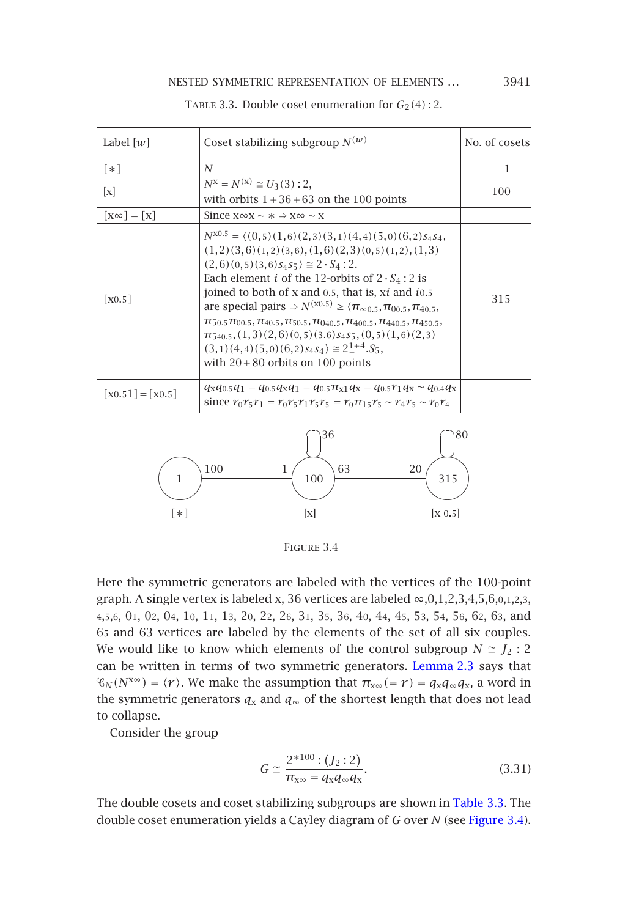#### <span id="page-10-0"></span>NESTED SYMMETRIC REPRESENTATION OF ELEMENTS ... 3941

| Label $[w]$                      | Coset stabilizing subgroup $N^{(w)}$                                                                                                                                                                                                                                                                                                                                                                                                                                                                                                                                                                                                                                                                  | No. of cosets |
|----------------------------------|-------------------------------------------------------------------------------------------------------------------------------------------------------------------------------------------------------------------------------------------------------------------------------------------------------------------------------------------------------------------------------------------------------------------------------------------------------------------------------------------------------------------------------------------------------------------------------------------------------------------------------------------------------------------------------------------------------|---------------|
| $\lceil * \rceil$                | N                                                                                                                                                                                                                                                                                                                                                                                                                                                                                                                                                                                                                                                                                                     | 1             |
| $\mathbf{x}$                     | $N^{\rm X} = N^{(\rm X)} \cong U_3(3)$ : 2,<br>with orbits $1+36+63$ on the 100 points                                                                                                                                                                                                                                                                                                                                                                                                                                                                                                                                                                                                                | 100           |
| $ X^{\infty}  =  X $             | Since $x \infty x \sim x \Rightarrow x \infty \sim x$                                                                                                                                                                                                                                                                                                                                                                                                                                                                                                                                                                                                                                                 |               |
| $\lceil$ X0.5 $\rceil$           | $N^{X0.5} = \langle (0,5)(1,6)(2,3)(3,1)(4,4)(5,0)(6,2)$ s <sub>4</sub> s <sub>4</sub> ,<br>$(1,2)(3,6)(1,2)(3,6), (1,6)(2,3)(0,5)(1,2), (1,3)$<br>$(2,6)(0,5)(3,6)s_4s_5 \geq 2 \cdot S_4$ : 2.<br>Each element <i>i</i> of the 12-orbits of $2 \cdot S_4$ : 2 is<br>joined to both of x and 0.5, that is, xi and i0.5<br>are special pairs $\Rightarrow N^{(x0.5)} \ge \langle \pi_{\infty 0.5}, \pi_{00.5}, \pi_{40.5},$<br>$\pi_{50.5}\pi_{00.5}, \pi_{40.5}, \pi_{50.5}, \pi_{040.5}, \pi_{400.5}, \pi_{440.5}, \pi_{450.5},$<br>$\pi_{540,5}$ , $(1,3)(2,6)(0,5)(3.6)$ $s_4$ $s_5$ , $(0,5)(1,6)(2,3)$<br>$(3.1)(4.4)(5.0)(6.2)s4s4) \approx 2^{1+4} S_5.$<br>with $20+80$ orbits on 100 points | 315           |
| $\lceil$ X0.51] = $\lceil$ X0.5] | $q_{\rm X}q_{\rm 0.5}q_{\rm 1}=q_{\rm 0.5}q_{\rm X}q_{\rm 1}=q_{\rm 0.5}\pi_{\rm x1}q_{\rm X}=q_{\rm 0.5}r_{\rm 1}q_{\rm X}\sim q_{\rm 0.4}q_{\rm X}$<br>since $r_0 r_5 r_1 = r_0 r_5 r_1 r_5 r_5 = r_0 \pi_{15} r_5 \sim r_4 r_5 \sim r_0 r_4$                                                                                                                                                                                                                                                                                                                                                                                                                                                       |               |
|                                  |                                                                                                                                                                                                                                                                                                                                                                                                                                                                                                                                                                                                                                                                                                       |               |

TABLE 3.3. Double coset enumeration for  $G_2(4)$ : 2.

<span id="page-10-1"></span>



Here the symmetric generators are labeled with the vertices of the 100-point graph. A single vertex is labeled x, 36 vertices are labeled  $\infty$ , 0, 1, 2, 3, 4, 5, 6, 0, 1, 2, 3, 4,5,6, 01, 02, 04, 10, 11, 13, 20, 22, 26, 31, 35, 36, 40, 44, 45, 53, 54, 56, 62, 63, and 65 and 63 vertices are labeled by the elements of the set of all six couples. We would like to know which elements of the control subgroup  $N \cong J_2$  $N \cong J_2$ : 2 can be written in terms of two symmetric generators. Lemma 2.3 says that  $\mathcal{C}_N(N^{\infty}) = \langle r \rangle$  $\mathcal{C}_N(N^{\infty}) = \langle r \rangle$  $\mathcal{C}_N(N^{\infty}) = \langle r \rangle$  $\mathcal{C}_N(N^{\infty}) = \langle r \rangle$  $\mathcal{C}_N(N^{\infty}) = \langle r \rangle$ . We make the assumption that  $\pi_{\mathbf{x} \infty} (= r) = q_{\mathbf{x}} q_{\infty} q_{\mathbf{x}}$ , a [word](#page-10-1) in the symmetric generators  $q_x$  and  $q_\infty$  of the shortest length that does not lead to collapse.

Consider the group

$$
G \cong \frac{2^{*100} \cdot (J_2 \cdot 2)}{\pi_{\mathbf{x}\infty} = q_{\mathbf{x}} q_{\infty} q_{\mathbf{x}}}.
$$
 (3.31)

The double cosets and coset stabilizing subgroups are shown in Table 3.3. The double coset enumeration yields a Cayley diagram of *G* over *N* (see Figure 3.4).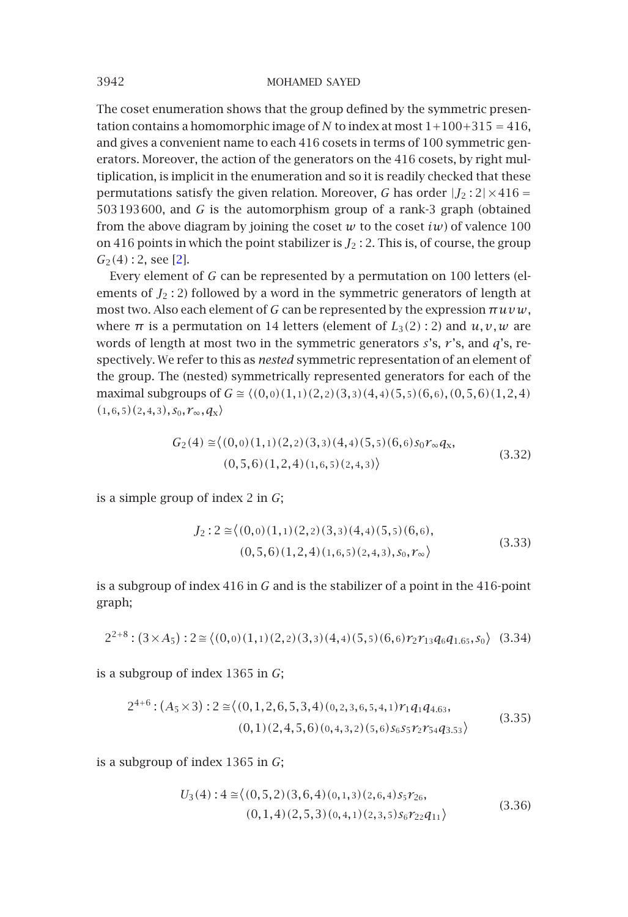The coset enu[m](#page-17-0)eration shows that the group defined by the symmetric presentation contains a homomorphic image of *N* to index at most  $1+100+315 = 416$ , and gives a convenient name to each 416 cosets in terms of 100 symmetric generators. Moreover, the action of the generators on the 416 cosets, by right multiplication, is implicit in the enumeration and so it is readily checked that these permutations satisfy the given relation. Moreover, *G* has order  $|J_2:2| \times 416 =$ 503193600, and *G* is the automorphism group of a rank-3 graph (obtained from the above diagram by joining the coset  $w$  to the coset  $iw$  of valence 100 on 416 points in which the point stabilizer is  $J_2$  : 2. This is, of course, the group *<sup>G</sup>*2*(*4*)* : 2, see [2].

Every element of *G* can be represented by a permutation on 100 letters (elements of  $J_2$ : 2) followed by a word in the symmetric generators of length at most two. Also each element of *G* can be represented by the expression *πuvw*, where  $\pi$  is a permutation on 14 letters (element of  $L_3(2)$ : 2) and  $u, v, w$  are words of length at most two in the symmetric generators *s*'s, *r* 's, and *q*'s, respectively. We refer to this as *nested* symmetric representation of an element of the group. The (nested) symmetrically represented generators for each of the maximal subgroups of  $G \cong \langle (0,0)(1,1)(2,2)(3,3)(4,4)(5,5)(6,6), (0,5,6)(1,2,4) \rangle$  $(1,6,5)(2,4,3),$   $S_0, r_\infty, q_X$ 

$$
G_2(4) \cong \langle (0,0)(1,1)(2,2)(3,3)(4,4)(5,5)(6,6)s_0 r_\infty q_x, (0,5,6)(1,2,4)(1,6,5)(2,4,3) \rangle
$$
\n(3.32)

is a simple group of index 2 in *G*;

$$
J_2: 2 \approx \langle (0,0)(1,1)(2,2)(3,3)(4,4)(5,5)(6,6),(0,5,6)(1,2,4)(1,6,5)(2,4,3), s_0, r_\infty \rangle
$$
(3.33)

is a subgroup of index 416 in *G* and is the stabilizer of a point in the 416-point graph;

 $2^{2+8}$ :  $(3 \times A_5)$ :  $2 \approx \langle (0,0)(1,1)(2,2)(3,3)(4,4)(5,5)(6,6)r_2r_{13}q_6q_{1.65}, s_0 \rangle$  (3.34)

is a subgroup of index 1365 in *G*;

$$
2^{4+6} : (A_5 \times 3) : 2 \cong \langle (0,1,2,6,5,3,4)(0,2,3,6,5,4,1) \r_{1} q_{1} q_{4.63},
$$
  
(0,1)(2,4,5,6)(0,4,3,2)(5,6) s\_{6} s\_{5} r\_{2} r\_{54} q\_{3.53} \rangle (3.35)

is a subgroup of index 1365 in *G*;

$$
U_3(4): 4 \cong \langle (0,5,2)(3,6,4)(0,1,3)(2,6,4) s_5 r_{26}, (0,1,4)(2,5,3)(0,4,1)(2,3,5) s_6 r_{22} q_{11} \rangle
$$
\n(3.36)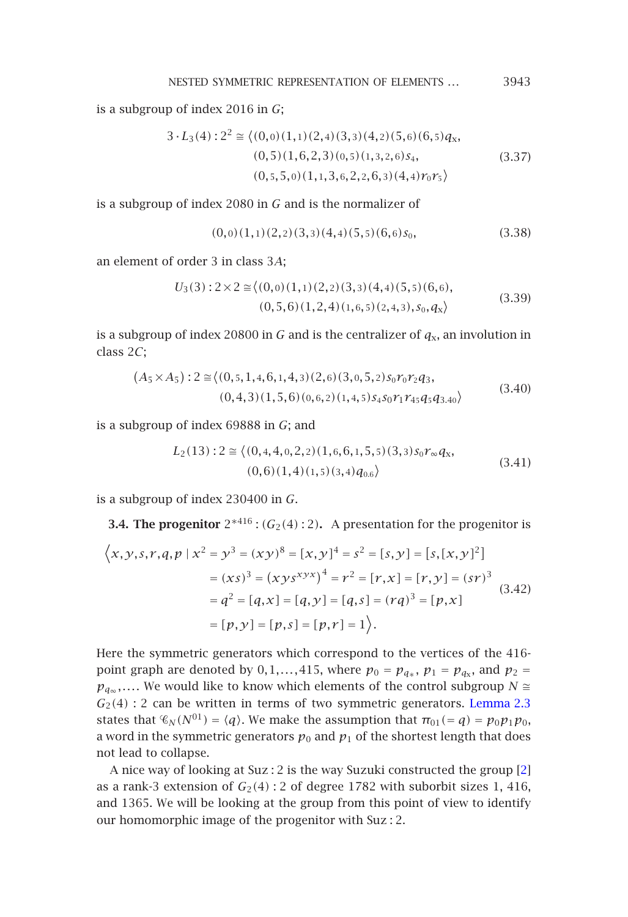NESTED SYMMETRIC REPRESENTATION OF ELEMENTS *...* <sup>3943</sup>

is a subgroup of index 2016 in *G*;

$$
3 \cdot L_3(4) : 2^2 \cong \langle (0,0)(1,1)(2,4)(3,3)(4,2)(5,6)(6,5)q_x, (0,5)(1,6,2,3)(0,5)(1,3,2,6)s_4, (3.37)(0,5,5,0)(1,1,3,6,2,2,6,3)(4,4)r_0r_5 \rangle
$$

is a subgroup of index 2080 in *G* and is the normalizer of

$$
(0,0)(1,1)(2,2)(3,3)(4,4)(5,5)(6,6)s_0,
$$
\n(3.38)

an element of order 3 in class 3*A*;

$$
U_3(3):2\times 2 \cong \langle (0,0)(1,1)(2,2)(3,3)(4,4)(5,5)(6,6),(0,5,6)(1,2,4)(1,6,5)(2,4,3),s_0,q_x \rangle
$$
(3.39)

is a subgroup of index 20800 in *G* and is the centralizer of  $q_x$ , an involution in class 2*C*;

$$
(A_5 \times A_5) : 2 \cong \langle (0,5,1,4,6,1,4,3)(2,6)(3,0,5,2)s_0 r_0 r_2 q_3, (0,4,3)(1,5,6)(0,6,2)(1,4,5)s_4 s_0 r_1 r_{45} q_5 q_{3.40} \rangle
$$
(3.40)

is a subgroup of index 69888 in *G*; and

$$
L_2(13): 2 \cong \langle (0,4,4,0,2,2)(1,6,6,1,5,5)(3,3) s_0 r_\infty q_x, (0,6)(1,4)(1,5)(3,4) q_{0.6} \rangle
$$
\n(3.41)

is a subgroup of index 230400 in *G*.

**3.4. The progenitor**  $2*416$  :  $(G_2(4):2)$ . A presentation for the progenitor is

$$
\langle x, y, s, r, q, p \mid x^2 = y^3 = (xy)^8 = [x, y]^4 = s^2 = [s, y] = [s, [x, y]^2]
$$

$$
= (xs)^3 = (xys^{xyx})^4 = r^2 = [r, x] = [r, y] = (sr)^3
$$

$$
= q^2 = [q, x] = [q, y] = [q, s] = (rq)^3 = [p, x]
$$

$$
= [p, y] = [p, s] = [p, r] = 1 \rangle.
$$
 (3.42)

Here the symmetric generators which correspond to the vertices of the 416 point graph are denoted by 0,1,...,415, where  $p_0 = p_{q*}$ ,  $p_1 = p_{qx}$ , and  $p_2 =$  $p_{q_\infty}$ ,.... We would like to know which elements of the control subgroup *N* ≅  $G_2(4)$ : 2 can be written in terms of two symmetric generators. Lemma 2.3 states that  $\mathcal{C}_N(N^{01}) = \langle q \rangle$ . We make the assumption that  $\pi_{01} = q = p_0 p_1 p_0$ , a word in the symmetric generators  $p_0$  and  $p_1$  of the shortest length that does not lead to collapse.

A nice way of looking at Suz : 2 is the way Suzuki constructed the group [2] as a rank-3 extension of  $G_2(4)$ : 2 of degree 1782 with suborbit sizes 1, 416, and 1365. We will be looking at the group from this point of view to identify our homomorphic image of the progenitor with Suz : 2.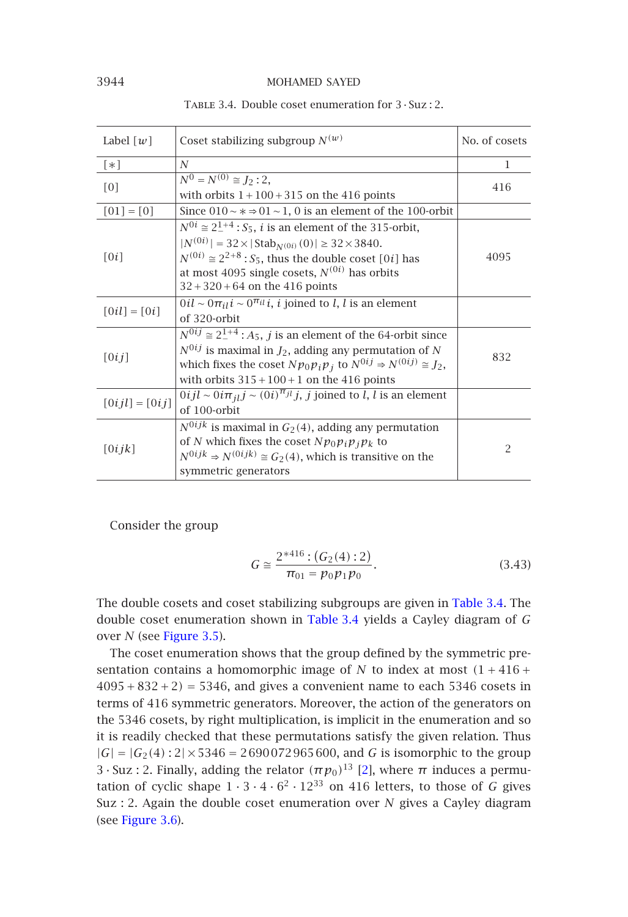|  | TABLE 3.4. Double coset enumeration for $3 \cdot S$ uz : 2. |  |  |
|--|-------------------------------------------------------------|--|--|
|  |                                                             |  |  |

| Label $\lceil w \rceil$ | Coset stabilizing subgroup $N^{(w)}$                                                                                                                                                                                                                                                                                                       | No. of cosets |
|-------------------------|--------------------------------------------------------------------------------------------------------------------------------------------------------------------------------------------------------------------------------------------------------------------------------------------------------------------------------------------|---------------|
| $\lceil * \rceil$       | $\overline{N}$                                                                                                                                                                                                                                                                                                                             | 1             |
| [0]                     | $\overline{N^0 = N^{(0)} \cong J_2 : 2,}$<br>with orbits $1 + 100 + 315$ on the 416 points                                                                                                                                                                                                                                                 | 416           |
| $[01] = [0]$            | Since $010 \sim x \approx 01 \sim 1$ , 0 is an element of the 100-orbit                                                                                                                                                                                                                                                                    |               |
| [0i]                    | $N^{0i} \approx 2^{1+4}$ : $S_5$ , <i>i</i> is an element of the 315-orbit,<br>$ N^{(0i)}  = 32 \times  \text{Stab}_{N^{(0i)}}(0)  \ge 32 \times 3840.$<br>$N^{(0i)} \approx 2^{2+8}$ : S <sub>5</sub> , thus the double coset [0 <i>i</i> ] has<br>at most 4095 single cosets, $N^{(0i)}$ has orbits<br>$32 + 320 + 64$ on the 416 points | 4095          |
| $[0il] = [0i]$          | $0i\ell \sim 0\pi_{il} i \sim 0^{\pi_{il}} i$ , <i>i</i> joined to <i>l</i> , <i>l</i> is an element<br>of 320-orbit                                                                                                                                                                                                                       |               |
| [0ij]                   | $\overline{N^{0ij}} \cong 2^{1+4}$ : $A_5$ , <i>j</i> is an element of the 64-orbit since<br>$N^{0ij}$ is maximal in $J_2$ , adding any permutation of N<br>which fixes the coset $Np_0p_ip_j$ to $N^{0ij} \Rightarrow N^{(0ij)} \cong J_2$ ,<br>with orbits $315 + 100 + 1$ on the 416 points                                             | 832           |
| $[0i j l] = [0i j]$     | $0ijl \sim 0i\pi_{jl}j \sim (0i)^{\pi_{jl}}j$ , <i>j</i> joined to <i>l</i> , <i>l</i> is an element<br>of 100-orbit                                                                                                                                                                                                                       |               |
| [0ijk]                  | $N^{0ijk}$ is maximal in $G_2(4)$ , adding any permutation<br>of N which fixes the coset $Np_0p_ip_jp_k$ to<br>$N^{0ijk} \Rightarrow N^{(0ijk)} \cong G_2(4)$ , which is transitive on the<br>symmetric generators                                                                                                                         | 2             |

Consider the group

$$
G \cong \frac{2^{*416} \cdot (G_2(4) \cdot 2)}{\pi_{01} = p_0 p_1 p_0}.
$$
 (3.43)

The double cosets and coset stabilizing subgroups are given in Table 3.4. The double coset enumeration shown in Table 3.4 [yi](#page-17-0)elds a Cayley diagram of *G* over *N* (see Figure 3.5).

The coset enumeration shows that the group defined by the symmetric present[ation cont](#page-14-0)ains a homomorphic image of *N* to index at most  $(1 + 416 +$ <sup>4095</sup>+832+2*)* <sup>=</sup> 5346, and gives a convenient name to each 5346 cosets in terms of 416 symmetric generators. Moreover, the action of the generators on the 5346 cosets, by right multiplication, is implicit in the enumeration and so it is readily checked that these permutations satisfy the given relation. Thus  $|G| = |G_2(4):2| \times 5346 = 2690072965600$ , and *G* is isomorphic to the group 3 · Suz : 2. Finally, adding the relator  $(\pi p_0)^{13}$  [2], where  $\pi$  induces a permutation of cyclic shape  $1 \cdot 3 \cdot 4 \cdot 6^2 \cdot 12^{33}$  on 416 letters, to those of *G* gives Suz : 2. Again the double coset enumeration over *N* gives a Cayley diagram (see Figure 3.6).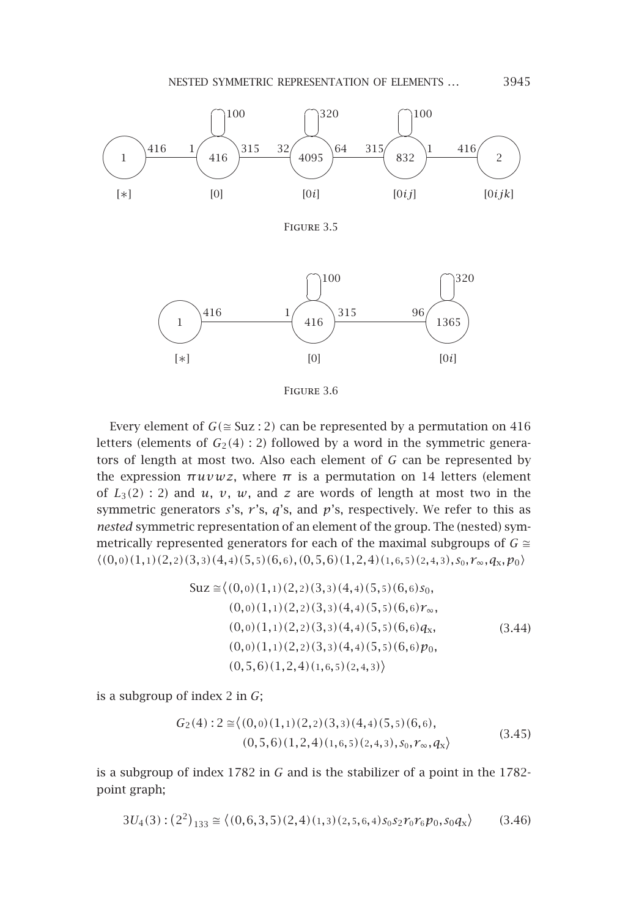

<span id="page-14-0"></span>Figure 3.6

Every element of  $G \cong Suz : 2$  can be represented by a permutation on 416 letters (elements of  $G_2(4):2$ ) followed by a word in the symmetric generators of length at most two. Also each element of *G* can be represented by the expression  $πuvwz$ , where  $π$  is a permutation on 14 letters (element of  $L_3(2)$  : 2) and  $u$ ,  $v$ ,  $w$ , and  $z$  are words of length at most two in the symmetric generators *s*'s, *r* 's, *q*'s, and *p*'s, respectively. We refer to this as *nested* symmetric representation of an element of the group. The (nested) symmetrically represented generators for each of the maximal subgroups of  $G \cong$  $\langle (0,0)(1,1)(2,2)(3,3)(4,4)(5,5)(6,6), (0,5,6)(1,2,4)(1,6,5)(2,4,3), S_0, r_{\infty}, q_{\rm x}, p_0 \rangle$ 

$$
Suz \approx \langle (0,0)(1,1)(2,2)(3,3)(4,4)(5,5)(6,6)s_0, (0,0)(1,1)(2,2)(3,3)(4,4)(5,5)(6,6)r_{\infty}, (0,0)(1,1)(2,2)(3,3)(4,4)(5,5)(6,6)q_x, (0,0)(1,1)(2,2)(3,3)(4,4)(5,5)(6,6)p_0, (0,5,6)(1,2,4)(1,6,5)(2,4,3)\rangle
$$
\n(3.44)

is a subgroup of index 2 in *G*;

$$
G_2(4): 2 \cong \langle (0,0)(1,1)(2,2)(3,3)(4,4)(5,5)(6,6),(0,5,6)(1,2,4)(1,6,5)(2,4,3),s_0,r_\infty,q_x \rangle
$$
(3.45)

is a subgroup of index 1782 in *G* and is the stabilizer of a point in the 1782 point graph;

$$
3U_4(3) : (2^2)_{133} \cong \langle (0,6,3,5)(2,4)(1,3)(2,5,6,4) s_0 s_2 r_0 r_6 p_0, s_0 q_x \rangle \tag{3.46}
$$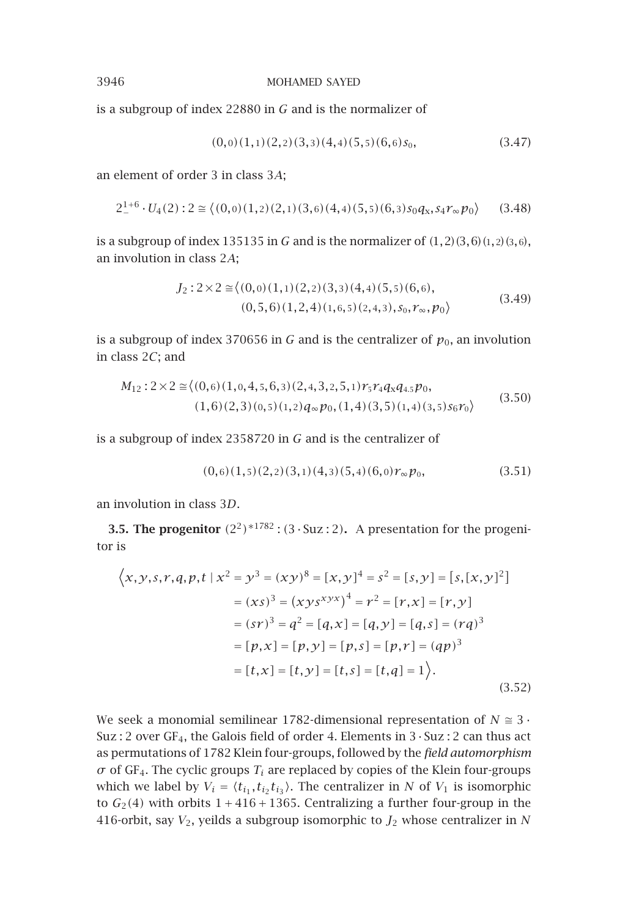is a subgroup of index 22880 in *G* and is the normalizer of

$$
(0,0)(1,1)(2,2)(3,3)(4,4)(5,5)(6,6)s_0,
$$
\n(3.47)

an element of order 3 in class 3*A*;

$$
2^{1+6} \cdot U_4(2) : 2 \cong \langle (0,0)(1,2)(2,1)(3,6)(4,4)(5,5)(6,3) s_0 q_x, s_4 r_\infty p_0 \rangle \qquad (3.48)
$$

is a subgroup of index 135135 in *<sup>G</sup>* and is the normalizer of *(*1*,*2*)(*3*,*6*)(*1*,*2*)(*3*,*6*)*, an involution in class 2*A*;

$$
J_2: 2 \times 2 \cong \langle (0,0)(1,1)(2,2)(3,3)(4,4)(5,5)(6,6),(0,5,6)(1,2,4)(1,6,5)(2,4,3), s_0, r_{\infty}, p_0 \rangle
$$
(3.49)

is a subgroup of index 370656 in *G* and is the centralizer of  $p_0$ , an involution in class 2*C*; and

$$
M_{12}:2\times2\cong\langle(0,6)(1,0,4,5,6,3)(2,4,3,2,5,1)r_5r_4q_xq_{4,5}p_0,(1,6)(2,3)(0,5)(1,2)q_\infty p_0,(1,4)(3,5)(1,4)(3,5)s_6r_0\rangle
$$
(3.50)

is a subgroup of index 2358720 in *G* and is the centralizer of

$$
(0,6)(1,5)(2,2)(3,1)(4,3)(5,4)(6,0)r_{\infty}p_0,
$$
\n(3.51)

an involution in class 3*D*.

**3.5. The progenitor**  $(2^2)^{*1782}$  :  $(3 \cdot \text{Suz} : 2)$ . A presentation for the progenitor is

$$
\left\langle x, y, s, r, q, p, t \mid x^2 = y^3 = (xy)^8 = [x, y]^4 = s^2 = [s, y] = [s, [x, y]^2]
$$

$$
= (xs)^3 = (xys^{xyz} + s^4) = r^2 = [r, x] = [r, y]
$$

$$
= (sr)^3 = q^2 = [q, x] = [q, y] = [q, s] = (rq)^3
$$

$$
= [p, x] = [p, y] = [p, s] = [p, r] = (qp)^3
$$

$$
= [t, x] = [t, y] = [t, s] = [t, q] = 1 \right\rangle.
$$
(3.52)

We seek a monomial semilinear 1782-dimensional representation of  $N \approx 3$ . Suz : 2 over GF<sub>4</sub>, the Galois field of order 4. Elements in  $3 \cdot$  Suz : 2 can thus act as permutations of 1782 Klein four-groups, followed by the *field automorphism*  $\sigma$  of GF<sub>4</sub>. The cyclic groups  $T_i$  are replaced by copies of the Klein four-groups which we label by  $V_i = \langle t_{i_1}, t_{i_2} t_{i_3} \rangle$ . The centralizer in *N* of  $V_1$  is isomorphic to  $G_2(4)$  with orbits  $1 + 416 + 1365$ . Centralizing a further four-group in the 416-orbit, say  $V_2$ , yeilds a subgroup isomorphic to  $J_2$  whose centralizer in  $N$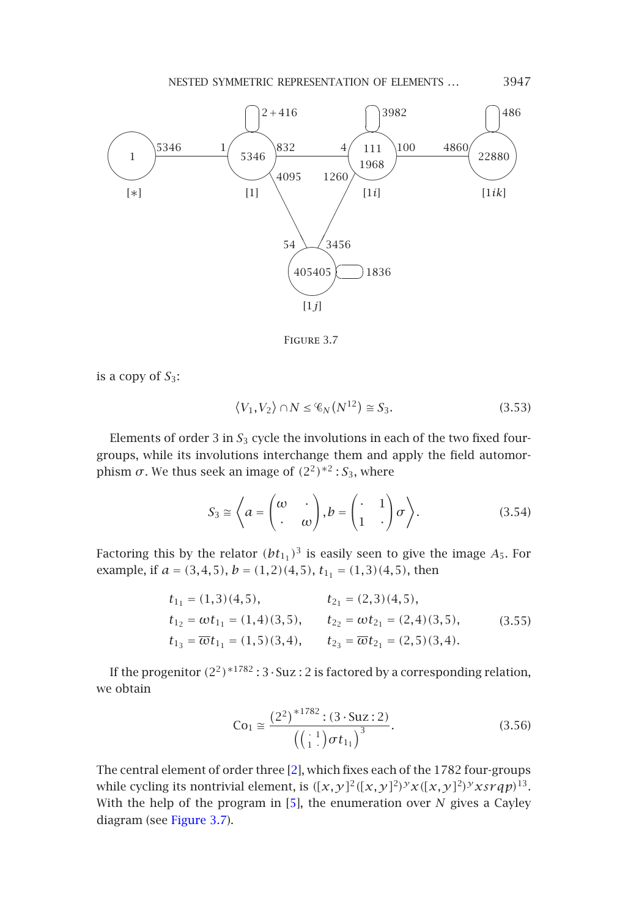

<span id="page-16-0"></span>Figure 3.7

is a copy of *S*3:

$$
\langle V_1, V_2 \rangle \cap N \leq \mathcal{C}_N(N^{12}) \cong S_3. \tag{3.53}
$$

Elements of order 3 in *<sup>S</sup>*<sup>3</sup> cycle the involutions in each of the two fixed fourgroups, while its involutions interchange them and apply the field automorphism *σ*. We thus seek an image of  $(2^2)$ <sup>\*2</sup> : *S*<sub>3</sub>, where

$$
S_3 \cong \left\langle a = \begin{pmatrix} \omega & \cdot \\ \cdot & \omega \end{pmatrix}, b = \begin{pmatrix} \cdot & 1 \\ 1 & \cdot \end{pmatrix} \sigma \right\rangle.
$$
 (3.54)

Factoring this by the relator  $(bt_{11})^3$  is easily seen to give the image  $A_5$ . For example, if  $a = (3, 4, 5)$ ,  $b = (1, 2)(4, 5)$ ,  $t_{11} = (1, 3)(4, 5)$ , then

$$
t_{11} = (1,3)(4,5), \t t_{21} = (2,3)(4,5),
$$
  
\n
$$
t_{12} = \omega t_{11} = (1,4)(3,5), \t t_{22} = \omega t_{21} = (2,4)(3,5),
$$
  
\n
$$
t_{13} = \overline{\omega} t_{11} = (1,5)(3,4), \t t_{23} = \overline{\omega} t_{21} = (2,5)(3,4).
$$
\n(3.55)

If the prog[enitor](#page-16-0)  $(2^2)^{*1782}$  : 3  $\cdot$  Suz : 2 is factored by a corresponding relation, we obtain

$$
Co1 \cong \frac{\left(2^{2}\right)^{*1782} : (3 \cdot Suz : 2)}{\left(\binom{1}{1} \sigma t_{1_{1}}\right)^{3}}.
$$
\n(3.56)

The central element of order three [2], which fixes each of the 1782 four-groups while cycling its nontrivial element, is  $([x, y]^2([x, y]^2)^y x ([x, y]^2)^y x s r q p)^{13}$ . With the help of the program in [5], the enumeration over *N* gives a Cayley diagram (see Figure 3.7).